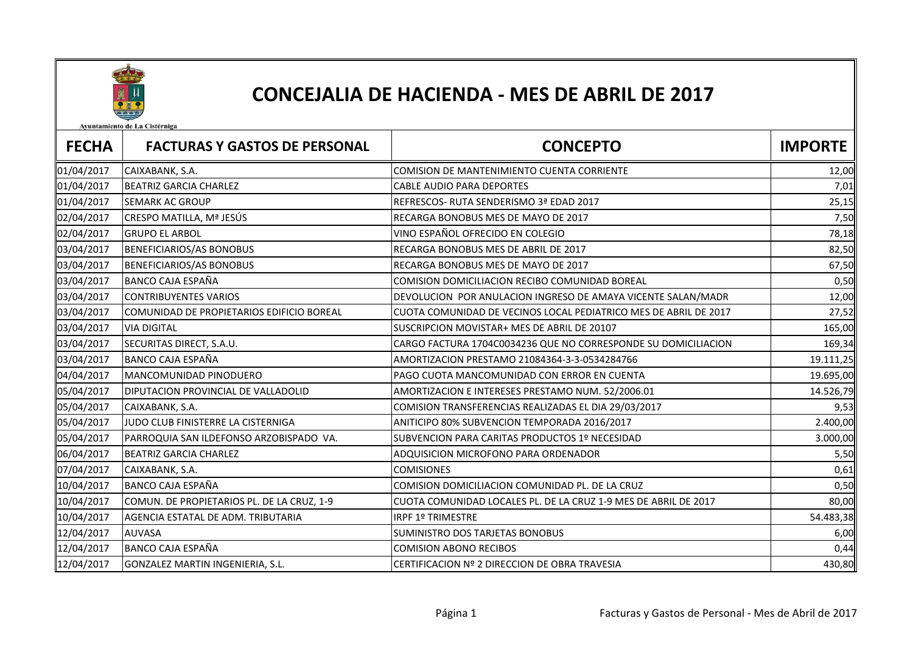

## CONCEJALIA DE HACIENDA - MES DE ABRIL DE 2017

Avuntamiento de La Cistérniga

| <b>FECHA</b> | <b>FACTURAS Y GASTOS DE PERSONAL</b>       | <b>CONCEPTO</b>                                                  | <b>IMPORTE</b> |
|--------------|--------------------------------------------|------------------------------------------------------------------|----------------|
| 01/04/2017   | CAIXABANK, S.A.                            | COMISION DE MANTENIMIENTO CUENTA CORRIENTE                       | 12,00          |
| 01/04/2017   | <b>BEATRIZ GARCIA CHARLEZ</b>              | <b>CABLE AUDIO PARA DEPORTES</b>                                 | 7,01           |
| 01/04/2017   | <b>SEMARK AC GROUP</b>                     | REFRESCOS- RUTA SENDERISMO 3ª EDAD 2017                          | 25,15          |
| 02/04/2017   | CRESPO MATILLA, Mª JESÚS                   | RECARGA BONOBUS MES DE MAYO DE 2017                              | 7,50           |
| 02/04/2017   | <b>GRUPO EL ARBOL</b>                      | VINO ESPAÑOL OFRECIDO EN COLEGIO                                 | 78,18          |
| 03/04/2017   | BENEFICIARIOS/AS BONOBUS                   | RECARGA BONOBUS MES DE ABRIL DE 2017                             | 82,50          |
| 03/04/2017   | <b>BENEFICIARIOS/AS BONOBUS</b>            | RECARGA BONOBUS MES DE MAYO DE 2017                              | 67,50          |
| 03/04/2017   | BANCO CAJA ESPAÑA                          | COMISION DOMICILIACION RECIBO COMUNIDAD BOREAL                   | 0,50           |
| 03/04/2017   | <b>CONTRIBUYENTES VARIOS</b>               | DEVOLUCION POR ANULACION INGRESO DE AMAYA VICENTE SALAN/MADR     | 12,00          |
| 03/04/2017   | COMUNIDAD DE PROPIETARIOS EDIFICIO BOREAL  | CUOTA COMUNIDAD DE VECINOS LOCAL PEDIATRICO MES DE ABRIL DE 2017 | 27,52          |
| 03/04/2017   | <b>VIA DIGITAL</b>                         | SUSCRIPCION MOVISTAR+ MES DE ABRIL DE 20107                      | 165,00         |
| 03/04/2017   | SECURITAS DIRECT, S.A.U.                   | CARGO FACTURA 1704C0034236 QUE NO CORRESPONDE SU DOMICILIACION   | 169,34         |
| 03/04/2017   | <b>BANCO CAJA ESPAÑA</b>                   | AMORTIZACION PRESTAMO 21084364-3-3-0534284766                    | 19.111,25      |
| 04/04/2017   | MANCOMUNIDAD PINODUERO                     | PAGO CUOTA MANCOMUNIDAD CON ERROR EN CUENTA                      | 19.695,00      |
| 05/04/2017   | DIPUTACION PROVINCIAL DE VALLADOLID        | AMORTIZACION E INTERESES PRESTAMO NUM. 52/2006.01                | 14.526,79      |
| 05/04/2017   | CAIXABANK, S.A.                            | COMISION TRANSFERENCIAS REALIZADAS EL DIA 29/03/2017             | 9,53           |
| 05/04/2017   | JUDO CLUB FINISTERRE LA CISTERNIGA         | ANITICIPO 80% SUBVENCION TEMPORADA 2016/2017                     | 2.400,00       |
| 05/04/2017   | PARROQUIA SAN ILDEFONSO ARZOBISPADO VA.    | SUBVENCION PARA CARITAS PRODUCTOS 1º NECESIDAD                   | 3.000,00       |
| 06/04/2017   | <b>BEATRIZ GARCIA CHARLEZ</b>              | ADQUISICION MICROFONO PARA ORDENADOR                             | 5,50           |
| 07/04/2017   | CAIXABANK, S.A.                            | <b>COMISIONES</b>                                                | 0,61           |
| 10/04/2017   | <b>BANCO CAJA ESPAÑA</b>                   | COMISION DOMICILIACION COMUNIDAD PL. DE LA CRUZ                  | 0,50           |
| 10/04/2017   | COMUN. DE PROPIETARIOS PL. DE LA CRUZ, 1-9 | CUOTA COMUNIDAD LOCALES PL. DE LA CRUZ 1-9 MES DE ABRIL DE 2017  | 80,00          |
| 10/04/2017   | AGENCIA ESTATAL DE ADM. TRIBUTARIA         | <b>IRPF 1º TRIMESTRE</b>                                         | 54.483,38      |
| 12/04/2017   | <b>AUVASA</b>                              | SUMINISTRO DOS TARJETAS BONOBUS                                  | 6,00           |
| 12/04/2017   | <b>BANCO CAJA ESPAÑA</b>                   | <b>COMISION ABONO RECIBOS</b>                                    | 0,44           |
| 12/04/2017   | GONZALEZ MARTIN INGENIERIA, S.L.           | CERTIFICACION Nº 2 DIRECCION DE OBRA TRAVESIA                    | 430,80         |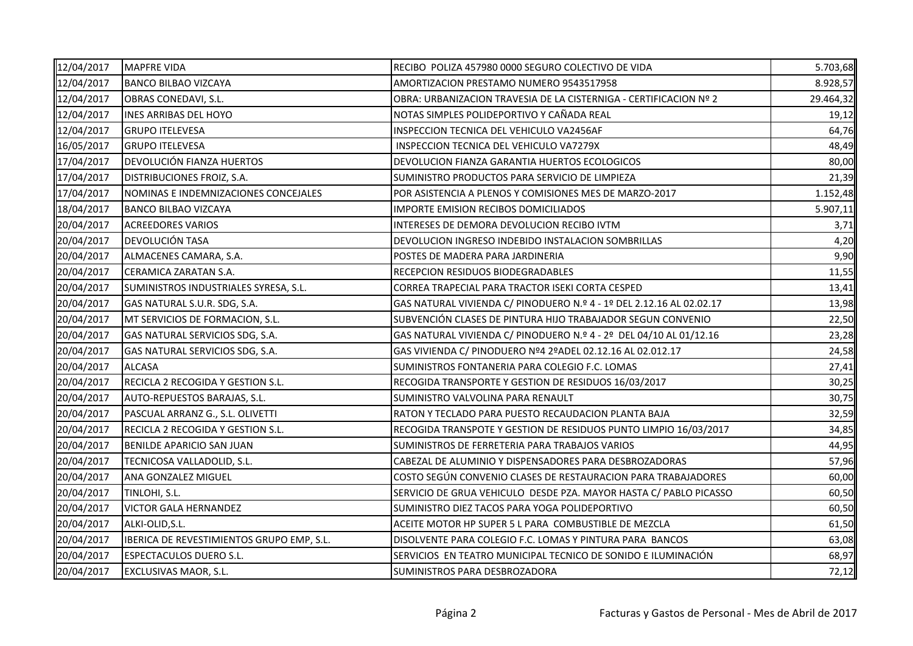| 12/04/2017 | <b>MAPFRE VIDA</b>                        | RECIBO POLIZA 457980 0000 SEGURO COLECTIVO DE VIDA                   | 5.703,68  |
|------------|-------------------------------------------|----------------------------------------------------------------------|-----------|
| 12/04/2017 | <b>BANCO BILBAO VIZCAYA</b>               | AMORTIZACION PRESTAMO NUMERO 9543517958                              | 8.928,57  |
| 12/04/2017 | OBRAS CONEDAVI, S.L.                      | OBRA: URBANIZACION TRAVESIA DE LA CISTERNIGA - CERTIFICACION Nº 2    | 29.464,32 |
| 12/04/2017 | <b>INES ARRIBAS DEL HOYO</b>              | NOTAS SIMPLES POLIDEPORTIVO Y CAÑADA REAL                            | 19,12     |
| 12/04/2017 | <b>GRUPO ITELEVESA</b>                    | INSPECCION TECNICA DEL VEHICULO VA2456AF                             | 64,76     |
| 16/05/2017 | <b>GRUPO ITELEVESA</b>                    | INSPECCION TECNICA DEL VEHICULO VA7279X                              | 48,49     |
| 17/04/2017 | <b>DEVOLUCIÓN FIANZA HUERTOS</b>          | DEVOLUCION FIANZA GARANTIA HUERTOS ECOLOGICOS                        | 80,00     |
| 17/04/2017 | <b>DISTRIBUCIONES FROIZ, S.A.</b>         | SUMINISTRO PRODUCTOS PARA SERVICIO DE LIMPIEZA                       | 21,39     |
| 17/04/2017 | NOMINAS E INDEMNIZACIONES CONCEJALES      | POR ASISTENCIA A PLENOS Y COMISIONES MES DE MARZO-2017               | 1.152,48  |
| 18/04/2017 | <b>BANCO BILBAO VIZCAYA</b>               | IMPORTE EMISION RECIBOS DOMICILIADOS                                 | 5.907,11  |
| 20/04/2017 | <b>ACREEDORES VARIOS</b>                  | INTERESES DE DEMORA DEVOLUCION RECIBO IVTM                           | 3,71      |
| 20/04/2017 | DEVOLUCIÓN TASA                           | DEVOLUCION INGRESO INDEBIDO INSTALACION SOMBRILLAS                   | 4,20      |
| 20/04/2017 | ALMACENES CAMARA, S.A.                    | POSTES DE MADERA PARA JARDINERIA                                     | 9,90      |
| 20/04/2017 | CERAMICA ZARATAN S.A.                     | RECEPCION RESIDUOS BIODEGRADABLES                                    | 11,55     |
| 20/04/2017 | SUMINISTROS INDUSTRIALES SYRESA, S.L.     | CORREA TRAPECIAL PARA TRACTOR ISEKI CORTA CESPED                     | 13,41     |
| 20/04/2017 | GAS NATURAL S.U.R. SDG, S.A.              | GAS NATURAL VIVIENDA C/ PINODUERO N.º 4 - 1º DEL 2.12.16 AL 02.02.17 | 13,98     |
| 20/04/2017 | MT SERVICIOS DE FORMACION, S.L.           | SUBVENCIÓN CLASES DE PINTURA HIJO TRABAJADOR SEGUN CONVENIO          | 22,50     |
| 20/04/2017 | GAS NATURAL SERVICIOS SDG, S.A.           | GAS NATURAL VIVIENDA C/ PINODUERO N.º 4 - 2º DEL 04/10 AL 01/12.16   | 23,28     |
| 20/04/2017 | GAS NATURAL SERVICIOS SDG, S.A.           | GAS VIVIENDA C/ PINODUERO Nº4 2ºADEL 02.12.16 AL 02.012.17           | 24,58     |
| 20/04/2017 | <b>ALCASA</b>                             | SUMINISTROS FONTANERIA PARA COLEGIO F.C. LOMAS                       | 27,41     |
| 20/04/2017 | RECICLA 2 RECOGIDA Y GESTION S.L.         | RECOGIDA TRANSPORTE Y GESTION DE RESIDUOS 16/03/2017                 | 30,25     |
| 20/04/2017 | AUTO-REPUESTOS BARAJAS, S.L.              | SUMINISTRO VALVOLINA PARA RENAULT                                    | 30,75     |
| 20/04/2017 | PASCUAL ARRANZ G., S.L. OLIVETTI          | RATON Y TECLADO PARA PUESTO RECAUDACION PLANTA BAJA                  | 32,59     |
| 20/04/2017 | RECICLA 2 RECOGIDA Y GESTION S.L.         | RECOGIDA TRANSPOTE Y GESTION DE RESIDUOS PUNTO LIMPIO 16/03/2017     | 34,85     |
| 20/04/2017 | <b>BENILDE APARICIO SAN JUAN</b>          | SUMINISTROS DE FERRETERIA PARA TRABAJOS VARIOS                       | 44,95     |
| 20/04/2017 | TECNICOSA VALLADOLID, S.L.                | CABEZAL DE ALUMINIO Y DISPENSADORES PARA DESBROZADORAS               | 57,96     |
| 20/04/2017 | <b>ANA GONZALEZ MIGUEL</b>                | COSTO SEGÚN CONVENIO CLASES DE RESTAURACION PARA TRABAJADORES        | 60,00     |
| 20/04/2017 | TINLOHI, S.L.                             | SERVICIO DE GRUA VEHICULO DESDE PZA. MAYOR HASTA C/ PABLO PICASSO    | 60,50     |
| 20/04/2017 | <b>VICTOR GALA HERNANDEZ</b>              | SUMINISTRO DIEZ TACOS PARA YOGA POLIDEPORTIVO                        | 60,50     |
| 20/04/2017 | ALKI-OLID, S.L.                           | ACEITE MOTOR HP SUPER 5 L PARA COMBUSTIBLE DE MEZCLA                 | 61,50     |
| 20/04/2017 | IBERICA DE REVESTIMIENTOS GRUPO EMP, S.L. | DISOLVENTE PARA COLEGIO F.C. LOMAS Y PINTURA PARA BANCOS             | 63,08     |
| 20/04/2017 | <b>ESPECTACULOS DUERO S.L.</b>            | SERVICIOS EN TEATRO MUNICIPAL TECNICO DE SONIDO E ILUMINACIÓN        | 68,97     |
| 20/04/2017 | <b>EXCLUSIVAS MAOR, S.L.</b>              | SUMINISTROS PARA DESBROZADORA                                        | 72,12     |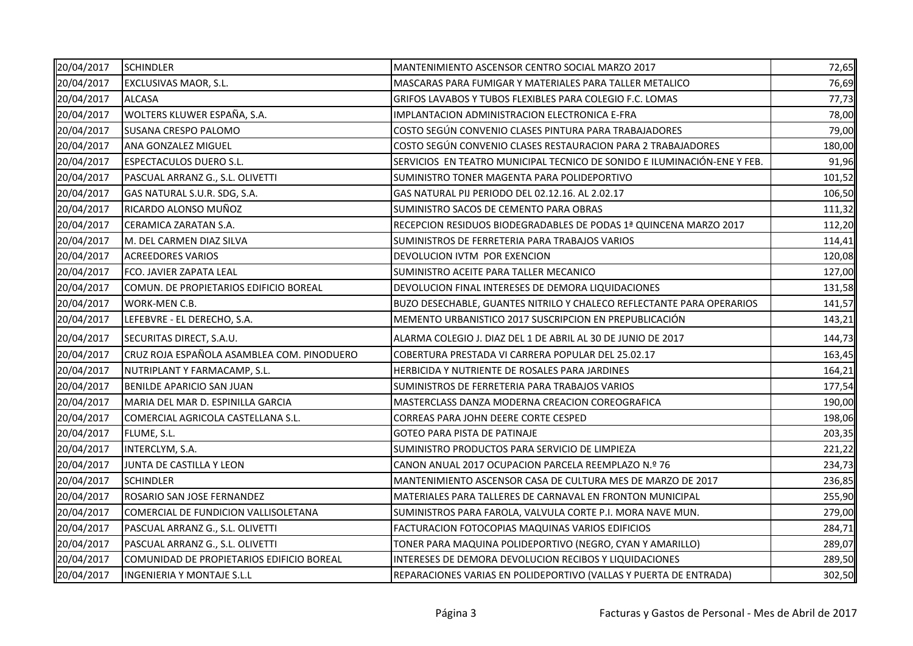| 20/04/2017 | <b>SCHINDLER</b>                           | MANTENIMIENTO ASCENSOR CENTRO SOCIAL MARZO 2017                          | 72,65  |
|------------|--------------------------------------------|--------------------------------------------------------------------------|--------|
| 20/04/2017 | <b>EXCLUSIVAS MAOR, S.L.</b>               | MASCARAS PARA FUMIGAR Y MATERIALES PARA TALLER METALICO                  | 76,69  |
| 20/04/2017 | <b>ALCASA</b>                              | GRIFOS LAVABOS Y TUBOS FLEXIBLES PARA COLEGIO F.C. LOMAS                 | 77,73  |
| 20/04/2017 | WOLTERS KLUWER ESPAÑA, S.A.                | IMPLANTACION ADMINISTRACION ELECTRONICA E-FRA                            | 78,00  |
| 20/04/2017 | <b>SUSANA CRESPO PALOMO</b>                | COSTO SEGÚN CONVENIO CLASES PINTURA PARA TRABAJADORES                    | 79,00  |
| 20/04/2017 | ANA GONZALEZ MIGUEL                        | COSTO SEGÚN CONVENIO CLASES RESTAURACION PARA 2 TRABAJADORES             | 180,00 |
| 20/04/2017 | <b>ESPECTACULOS DUERO S.L.</b>             | SERVICIOS EN TEATRO MUNICIPAL TECNICO DE SONIDO E ILUMINACIÓN-ENE Y FEB. | 91,96  |
| 20/04/2017 | PASCUAL ARRANZ G., S.L. OLIVETTI           | SUMINISTRO TONER MAGENTA PARA POLIDEPORTIVO                              | 101,52 |
| 20/04/2017 | GAS NATURAL S.U.R. SDG, S.A.               | GAS NATURAL PIJ PERIODO DEL 02.12.16. AL 2.02.17                         | 106,50 |
| 20/04/2017 | RICARDO ALONSO MUÑOZ                       | SUMINISTRO SACOS DE CEMENTO PARA OBRAS                                   | 111,32 |
| 20/04/2017 | CERAMICA ZARATAN S.A.                      | RECEPCION RESIDUOS BIODEGRADABLES DE PODAS 1ª QUINCENA MARZO 2017        | 112,20 |
| 20/04/2017 | M. DEL CARMEN DIAZ SILVA                   | SUMINISTROS DE FERRETERIA PARA TRABAJOS VARIOS                           | 114,41 |
| 20/04/2017 | <b>ACREEDORES VARIOS</b>                   | DEVOLUCION IVTM POR EXENCION                                             | 120,08 |
| 20/04/2017 | FCO. JAVIER ZAPATA LEAL                    | SUMINISTRO ACEITE PARA TALLER MECANICO                                   | 127,00 |
| 20/04/2017 | COMUN. DE PROPIETARIOS EDIFICIO BOREAL     | DEVOLUCION FINAL INTERESES DE DEMORA LIQUIDACIONES                       | 131,58 |
| 20/04/2017 | WORK-MEN C.B.                              | BUZO DESECHABLE, GUANTES NITRILO Y CHALECO REFLECTANTE PARA OPERARIOS    | 141,57 |
| 20/04/2017 | LEFEBVRE - EL DERECHO, S.A.                | MEMENTO URBANISTICO 2017 SUSCRIPCION EN PREPUBLICACIÓN                   | 143,21 |
| 20/04/2017 | SECURITAS DIRECT, S.A.U.                   | ALARMA COLEGIO J. DIAZ DEL 1 DE ABRIL AL 30 DE JUNIO DE 2017             | 144,73 |
| 20/04/2017 | CRUZ ROJA ESPAÑOLA ASAMBLEA COM. PINODUERO | COBERTURA PRESTADA VI CARRERA POPULAR DEL 25.02.17                       | 163,45 |
| 20/04/2017 | NUTRIPLANT Y FARMACAMP, S.L.               | HERBICIDA Y NUTRIENTE DE ROSALES PARA JARDINES                           | 164,21 |
| 20/04/2017 | <b>BENILDE APARICIO SAN JUAN</b>           | SUMINISTROS DE FERRETERIA PARA TRABAJOS VARIOS                           | 177,54 |
| 20/04/2017 | MARIA DEL MAR D. ESPINILLA GARCIA          | MASTERCLASS DANZA MODERNA CREACION COREOGRAFICA                          | 190,00 |
| 20/04/2017 | COMERCIAL AGRICOLA CASTELLANA S.L.         | CORREAS PARA JOHN DEERE CORTE CESPED                                     | 198,06 |
| 20/04/2017 | FLUME, S.L.                                | <b>GOTEO PARA PISTA DE PATINAJE</b>                                      | 203,35 |
| 20/04/2017 | INTERCLYM, S.A.                            | SUMINISTRO PRODUCTOS PARA SERVICIO DE LIMPIEZA                           | 221,22 |
| 20/04/2017 | JUNTA DE CASTILLA Y LEON                   | CANON ANUAL 2017 OCUPACION PARCELA REEMPLAZO N.º 76                      | 234,73 |
| 20/04/2017 | <b>SCHINDLER</b>                           | MANTENIMIENTO ASCENSOR CASA DE CULTURA MES DE MARZO DE 2017              | 236,85 |
| 20/04/2017 | ROSARIO SAN JOSE FERNANDEZ                 | MATERIALES PARA TALLERES DE CARNAVAL EN FRONTON MUNICIPAL                | 255,90 |
| 20/04/2017 | COMERCIAL DE FUNDICION VALLISOLETANA       | SUMINISTROS PARA FAROLA, VALVULA CORTE P.I. MORA NAVE MUN.               | 279,00 |
| 20/04/2017 | PASCUAL ARRANZ G., S.L. OLIVETTI           | FACTURACION FOTOCOPIAS MAQUINAS VARIOS EDIFICIOS                         | 284,71 |
| 20/04/2017 | PASCUAL ARRANZ G., S.L. OLIVETTI           | TONER PARA MAQUINA POLIDEPORTIVO (NEGRO, CYAN Y AMARILLO)                | 289,07 |
| 20/04/2017 | COMUNIDAD DE PROPIETARIOS EDIFICIO BOREAL  | INTERESES DE DEMORA DEVOLUCION RECIBOS Y LIQUIDACIONES                   | 289,50 |
| 20/04/2017 | <b>INGENIERIA Y MONTAJE S.L.L</b>          | REPARACIONES VARIAS EN POLIDEPORTIVO (VALLAS Y PUERTA DE ENTRADA)        | 302,50 |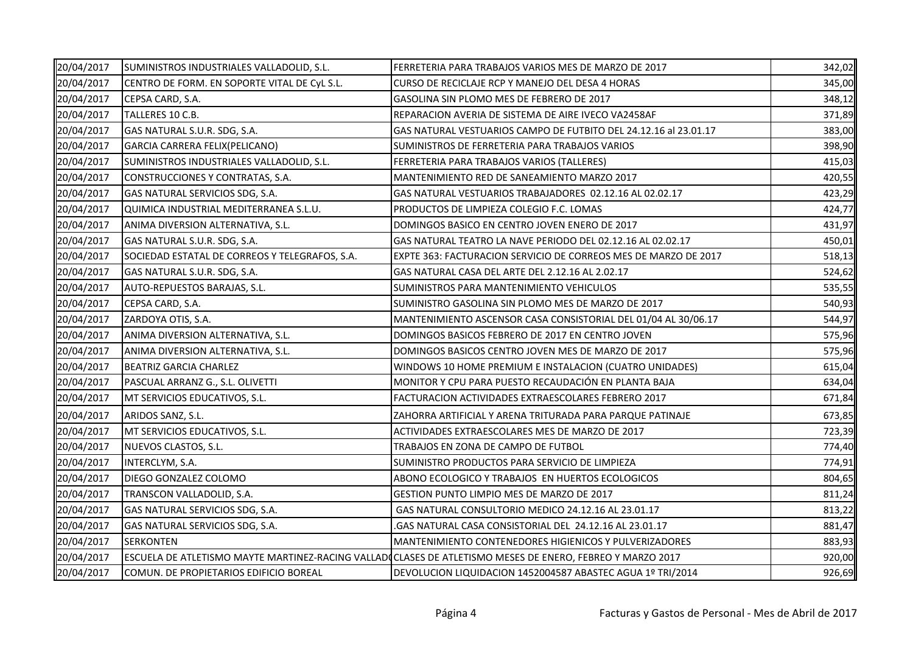| 20/04/2017 | SUMINISTROS INDUSTRIALES VALLADOLID, S.L.      | FERRETERIA PARA TRABAJOS VARIOS MES DE MARZO DE 2017                                                      | 342,02 |
|------------|------------------------------------------------|-----------------------------------------------------------------------------------------------------------|--------|
| 20/04/2017 | CENTRO DE FORM. EN SOPORTE VITAL DE CyL S.L.   | CURSO DE RECICLAJE RCP Y MANEJO DEL DESA 4 HORAS                                                          | 345,00 |
| 20/04/2017 | CEPSA CARD, S.A.                               | GASOLINA SIN PLOMO MES DE FEBRERO DE 2017                                                                 | 348,12 |
| 20/04/2017 | TALLERES 10 C.B.                               | REPARACION AVERIA DE SISTEMA DE AIRE IVECO VA2458AF                                                       | 371,89 |
| 20/04/2017 | GAS NATURAL S.U.R. SDG, S.A.                   | GAS NATURAL VESTUARIOS CAMPO DE FUTBITO DEL 24.12.16 al 23.01.17                                          | 383,00 |
| 20/04/2017 | GARCIA CARRERA FELIX(PELICANO)                 | SUMINISTROS DE FERRETERIA PARA TRABAJOS VARIOS                                                            | 398,90 |
| 20/04/2017 | SUMINISTROS INDUSTRIALES VALLADOLID, S.L.      | FERRETERIA PARA TRABAJOS VARIOS (TALLERES)                                                                | 415,03 |
| 20/04/2017 | CONSTRUCCIONES Y CONTRATAS, S.A.               | MANTENIMIENTO RED DE SANEAMIENTO MARZO 2017                                                               | 420,55 |
| 20/04/2017 | GAS NATURAL SERVICIOS SDG, S.A.                | GAS NATURAL VESTUARIOS TRABAJADORES 02.12.16 AL 02.02.17                                                  | 423,29 |
| 20/04/2017 | QUIMICA INDUSTRIAL MEDITERRANEA S.L.U.         | PRODUCTOS DE LIMPIEZA COLEGIO F.C. LOMAS                                                                  | 424,77 |
| 20/04/2017 | ANIMA DIVERSION ALTERNATIVA, S.L.              | DOMINGOS BASICO EN CENTRO JOVEN ENERO DE 2017                                                             | 431,97 |
| 20/04/2017 | GAS NATURAL S.U.R. SDG, S.A.                   | GAS NATURAL TEATRO LA NAVE PERIODO DEL 02.12.16 AL 02.02.17                                               | 450,01 |
| 20/04/2017 | SOCIEDAD ESTATAL DE CORREOS Y TELEGRAFOS, S.A. | EXPTE 363: FACTURACION SERVICIO DE CORREOS MES DE MARZO DE 2017                                           | 518,13 |
| 20/04/2017 | GAS NATURAL S.U.R. SDG, S.A.                   | GAS NATURAL CASA DEL ARTE DEL 2.12.16 AL 2.02.17                                                          | 524,62 |
| 20/04/2017 | AUTO-REPUESTOS BARAJAS, S.L.                   | SUMINISTROS PARA MANTENIMIENTO VEHICULOS                                                                  | 535,55 |
| 20/04/2017 | CEPSA CARD, S.A.                               | SUMINISTRO GASOLINA SIN PLOMO MES DE MARZO DE 2017                                                        | 540,93 |
| 20/04/2017 | ZARDOYA OTIS, S.A.                             | MANTENIMIENTO ASCENSOR CASA CONSISTORIAL DEL 01/04 AL 30/06.17                                            | 544,97 |
| 20/04/2017 | ANIMA DIVERSION ALTERNATIVA, S.L.              | DOMINGOS BASICOS FEBRERO DE 2017 EN CENTRO JOVEN                                                          | 575,96 |
| 20/04/2017 | ANIMA DIVERSION ALTERNATIVA, S.L.              | DOMINGOS BASICOS CENTRO JOVEN MES DE MARZO DE 2017                                                        | 575,96 |
| 20/04/2017 | <b>BEATRIZ GARCIA CHARLEZ</b>                  | WINDOWS 10 HOME PREMIUM E INSTALACION (CUATRO UNIDADES)                                                   | 615,04 |
| 20/04/2017 | PASCUAL ARRANZ G., S.L. OLIVETTI               | MONITOR Y CPU PARA PUESTO RECAUDACIÓN EN PLANTA BAJA                                                      | 634,04 |
| 20/04/2017 | MT SERVICIOS EDUCATIVOS, S.L.                  | FACTURACION ACTIVIDADES EXTRAESCOLARES FEBRERO 2017                                                       | 671,84 |
| 20/04/2017 | ARIDOS SANZ, S.L.                              | ZAHORRA ARTIFICIAL Y ARENA TRITURADA PARA PARQUE PATINAJE                                                 | 673,85 |
| 20/04/2017 | MT SERVICIOS EDUCATIVOS, S.L.                  | ACTIVIDADES EXTRAESCOLARES MES DE MARZO DE 2017                                                           | 723,39 |
| 20/04/2017 | NUEVOS CLASTOS, S.L.                           | TRABAJOS EN ZONA DE CAMPO DE FUTBOL                                                                       | 774,40 |
| 20/04/2017 | INTERCLYM, S.A.                                | SUMINISTRO PRODUCTOS PARA SERVICIO DE LIMPIEZA                                                            | 774,91 |
| 20/04/2017 | DIEGO GONZALEZ COLOMO                          | ABONO ECOLOGICO Y TRABAJOS EN HUERTOS ECOLOGICOS                                                          | 804,65 |
| 20/04/2017 | TRANSCON VALLADOLID, S.A.                      | GESTION PUNTO LIMPIO MES DE MARZO DE 2017                                                                 | 811,24 |
| 20/04/2017 | GAS NATURAL SERVICIOS SDG, S.A.                | GAS NATURAL CONSULTORIO MEDICO 24.12.16 AL 23.01.17                                                       | 813,22 |
| 20/04/2017 | GAS NATURAL SERVICIOS SDG, S.A.                | GAS NATURAL CASA CONSISTORIAL DEL 24.12.16 AL 23.01.17                                                    | 881,47 |
| 20/04/2017 | <b>SERKONTEN</b>                               | MANTENIMIENTO CONTENEDORES HIGIENICOS Y PULVERIZADORES                                                    | 883,93 |
| 20/04/2017 |                                                | ESCUELA DE ATLETISMO MAYTE MARTINEZ-RACING VALLADOCLASES DE ATLETISMO MESES DE ENERO, FEBREO Y MARZO 2017 | 920,00 |
| 20/04/2017 | COMUN. DE PROPIETARIOS EDIFICIO BOREAL         | DEVOLUCION LIQUIDACION 1452004587 ABASTEC AGUA 1º TRI/2014                                                | 926,69 |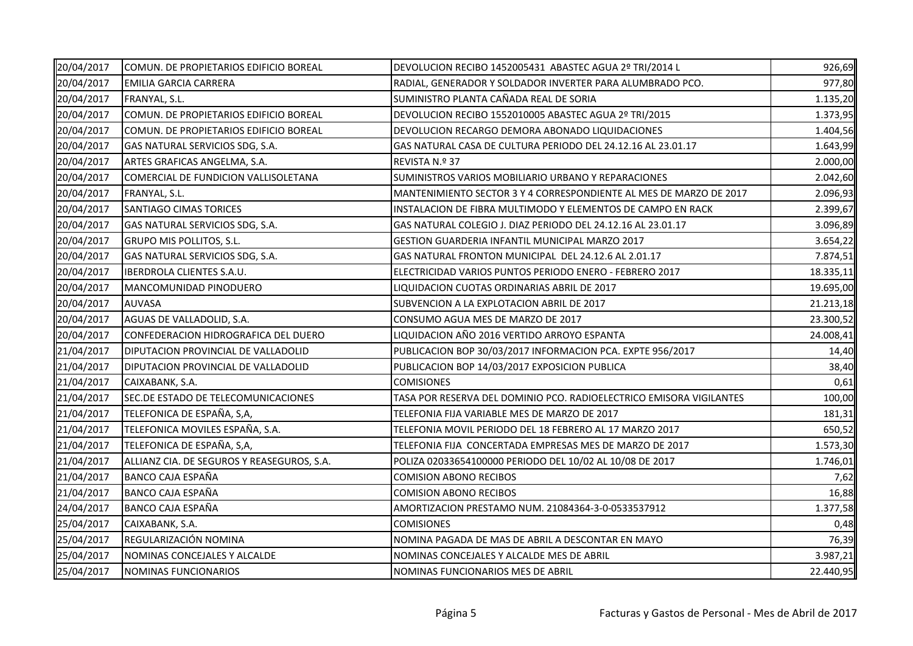| 20/04/2017 | COMUN. DE PROPIETARIOS EDIFICIO BOREAL     | DEVOLUCION RECIBO 1452005431 ABASTEC AGUA 2º TRI/2014 L             | 926,69    |
|------------|--------------------------------------------|---------------------------------------------------------------------|-----------|
| 20/04/2017 | <b>EMILIA GARCIA CARRERA</b>               | RADIAL, GENERADOR Y SOLDADOR INVERTER PARA ALUMBRADO PCO.           | 977,80    |
| 20/04/2017 | FRANYAL, S.L.                              | SUMINISTRO PLANTA CAÑADA REAL DE SORIA                              | 1.135,20  |
| 20/04/2017 | COMUN. DE PROPIETARIOS EDIFICIO BOREAL     | DEVOLUCION RECIBO 1552010005 ABASTEC AGUA 2º TRI/2015               | 1.373,95  |
| 20/04/2017 | COMUN. DE PROPIETARIOS EDIFICIO BOREAL     | DEVOLUCION RECARGO DEMORA ABONADO LIQUIDACIONES                     | 1.404,56  |
| 20/04/2017 | GAS NATURAL SERVICIOS SDG, S.A.            | GAS NATURAL CASA DE CULTURA PERIODO DEL 24.12.16 AL 23.01.17        | 1.643,99  |
| 20/04/2017 | ARTES GRAFICAS ANGELMA, S.A.               | REVISTA N.º 37                                                      | 2.000,00  |
| 20/04/2017 | COMERCIAL DE FUNDICION VALLISOLETANA       | SUMINISTROS VARIOS MOBILIARIO URBANO Y REPARACIONES                 | 2.042,60  |
| 20/04/2017 | FRANYAL, S.L.                              | MANTENIMIENTO SECTOR 3 Y 4 CORRESPONDIENTE AL MES DE MARZO DE 2017  | 2.096,93  |
| 20/04/2017 | SANTIAGO CIMAS TORICES                     | INSTALACION DE FIBRA MULTIMODO Y ELEMENTOS DE CAMPO EN RACK         | 2.399,67  |
| 20/04/2017 | GAS NATURAL SERVICIOS SDG, S.A.            | GAS NATURAL COLEGIO J. DIAZ PERIODO DEL 24.12.16 AL 23.01.17        | 3.096,89  |
| 20/04/2017 | <b>GRUPO MIS POLLITOS, S.L.</b>            | GESTION GUARDERIA INFANTIL MUNICIPAL MARZO 2017                     | 3.654,22  |
| 20/04/2017 | GAS NATURAL SERVICIOS SDG, S.A.            | GAS NATURAL FRONTON MUNICIPAL DEL 24.12.6 AL 2.01.17                | 7.874,51  |
| 20/04/2017 | IBERDROLA CLIENTES S.A.U.                  | ELECTRICIDAD VARIOS PUNTOS PERIODO ENERO - FEBRERO 2017             | 18.335,11 |
| 20/04/2017 | MANCOMUNIDAD PINODUERO                     | LIQUIDACION CUOTAS ORDINARIAS ABRIL DE 2017                         | 19.695,00 |
| 20/04/2017 | <b>AUVASA</b>                              | SUBVENCION A LA EXPLOTACION ABRIL DE 2017                           | 21.213,18 |
| 20/04/2017 | AGUAS DE VALLADOLID, S.A.                  | CONSUMO AGUA MES DE MARZO DE 2017                                   | 23.300,52 |
| 20/04/2017 | CONFEDERACION HIDROGRAFICA DEL DUERO       | LIQUIDACION AÑO 2016 VERTIDO ARROYO ESPANTA                         | 24.008,41 |
| 21/04/2017 | DIPUTACION PROVINCIAL DE VALLADOLID        | PUBLICACION BOP 30/03/2017 INFORMACION PCA. EXPTE 956/2017          | 14,40     |
| 21/04/2017 | DIPUTACION PROVINCIAL DE VALLADOLID        | PUBLICACION BOP 14/03/2017 EXPOSICION PUBLICA                       | 38,40     |
| 21/04/2017 | CAIXABANK, S.A.                            | <b>COMISIONES</b>                                                   | 0,61      |
| 21/04/2017 | SEC.DE ESTADO DE TELECOMUNICACIONES        | TASA POR RESERVA DEL DOMINIO PCO. RADIOELECTRICO EMISORA VIGILANTES | 100,00    |
| 21/04/2017 | TELEFONICA DE ESPAÑA, S,A,                 | TELEFONIA FIJA VARIABLE MES DE MARZO DE 2017                        | 181,31    |
| 21/04/2017 | TELEFONICA MOVILES ESPAÑA, S.A.            | TELEFONIA MOVIL PERIODO DEL 18 FEBRERO AL 17 MARZO 2017             | 650,52    |
| 21/04/2017 | TELEFONICA DE ESPAÑA, S,A,                 | TELEFONIA FIJA CONCERTADA EMPRESAS MES DE MARZO DE 2017             | 1.573,30  |
| 21/04/2017 | ALLIANZ CIA. DE SEGUROS Y REASEGUROS, S.A. | POLIZA 02033654100000 PERIODO DEL 10/02 AL 10/08 DE 2017            | 1.746,01  |
| 21/04/2017 | <b>BANCO CAJA ESPAÑA</b>                   | <b>COMISION ABONO RECIBOS</b>                                       | 7,62      |
| 21/04/2017 | <b>BANCO CAJA ESPAÑA</b>                   | <b>COMISION ABONO RECIBOS</b>                                       | 16,88     |
| 24/04/2017 | <b>BANCO CAJA ESPAÑA</b>                   | AMORTIZACION PRESTAMO NUM. 21084364-3-0-0533537912                  | 1.377,58  |
| 25/04/2017 | CAIXABANK, S.A.                            | <b>COMISIONES</b>                                                   | 0,48      |
| 25/04/2017 | REGULARIZACIÓN NOMINA                      | NOMINA PAGADA DE MAS DE ABRIL A DESCONTAR EN MAYO                   | 76,39     |
| 25/04/2017 | NOMINAS CONCEJALES Y ALCALDE               | NOMINAS CONCEJALES Y ALCALDE MES DE ABRIL                           | 3.987,21  |
| 25/04/2017 | NOMINAS FUNCIONARIOS                       | NOMINAS FUNCIONARIOS MES DE ABRIL                                   | 22.440,95 |